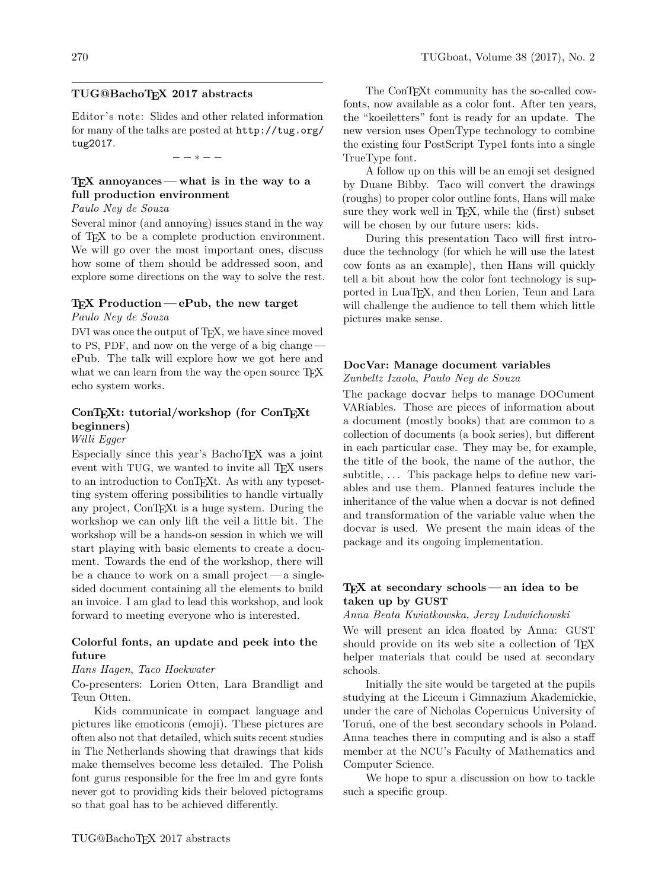## **TUG@BachoTEX 2017 abstracts**

Editor's note: Slides and other related information for many of the talks are posted at http://tug.org/ tug2017.

 $*$   $-$ 

## **TEX annoyances— what is in the way to a full production environment**

## *Paulo Ney de Souza*

Several minor (and annoying) issues stand in the way of TEX to be a complete production environment. We will go over the most important ones, discuss how some of them should be addressed soon, and explore some directions on the way to solve the rest.

## **TEX Production — ePub, the new target**

*Paulo Ney de Souza*

DVI was once the output of TEX, we have since moved to PS, PDF, and now on the verge of a big change ePub. The talk will explore how we got here and what we can learn from the way the open source T<sub>EX</sub> echo system works.

## **ConTEXt: tutorial/workshop (for ConTEXt beginners)**

#### *Willi Egger*

Especially since this year's BachoTEX was a joint event with TUG, we wanted to invite all T<sub>EX</sub> users to an introduction to ConTEXt. As with any typesetting system offering possibilities to handle virtually any project, ConTEXt is a huge system. During the workshop we can only lift the veil a little bit. The workshop will be a hands-on session in which we will start playing with basic elements to create a document. Towards the end of the workshop, there will be a chance to work on a small project— a singlesided document containing all the elements to build an invoice. I am glad to lead this workshop, and look forward to meeting everyone who is interested.

## **Colorful fonts, an update and peek into the future**

#### *Hans Hagen*, *Taco Hoekwater*

Co-presenters: Lorien Otten, Lara Brandligt and Teun Otten.

Kids communicate in compact language and pictures like emoticons (emoji). These pictures are often also not that detailed, which suits recent studies in The Netherlands showing that drawings that kids make themselves become less detailed. The Polish font gurus responsible for the free lm and gyre fonts never got to providing kids their beloved pictograms so that goal has to be achieved differently.

The ConTEXt community has the so-called cowfonts, now available as a color font. After ten years, the "koeiletters" font is ready for an update. The new version uses OpenType technology to combine the existing four PostScript Type1 fonts into a single TrueType font.

A follow up on this will be an emoji set designed by Duane Bibby. Taco will convert the drawings (roughs) to proper color outline fonts, Hans will make sure they work well in T<sub>E</sub>X, while the (first) subset will be chosen by our future users: kids.

During this presentation Taco will first introduce the technology (for which he will use the latest cow fonts as an example), then Hans will quickly tell a bit about how the color font technology is supported in LuaTEX, and then Lorien, Teun and Lara will challenge the audience to tell them which little pictures make sense.

## **DocVar: Manage document variables**

*Zunbeltz Izaola*, *Paulo Ney de Souza*

The package docvar helps to manage DOCument VARiables. Those are pieces of information about a document (mostly books) that are common to a collection of documents (a book series), but different in each particular case. They may be, for example, the title of the book, the name of the author, the subtitle,  $\dots$  This package helps to define new variables and use them. Planned features include the inheritance of the value when a docvar is not defined and transformation of the variable value when the docvar is used. We present the main ideas of the package and its ongoing implementation.

## **TEX at secondary schools — an idea to be taken up by GUST**

*Anna Beata Kwiatkowska*, *Jerzy Ludwichowski*

We will present an idea floated by Anna: GUST should provide on its web site a collection of TEX helper materials that could be used at secondary schools.

Initially the site would be targeted at the pupils studying at the Liceum i Gimnazium Akademickie, under the care of Nicholas Copernicus University of Toruń, one of the best secondary schools in Poland. Anna teaches there in computing and is also a staff member at the NCU's Faculty of Mathematics and Computer Science.

We hope to spur a discussion on how to tackle such a specific group.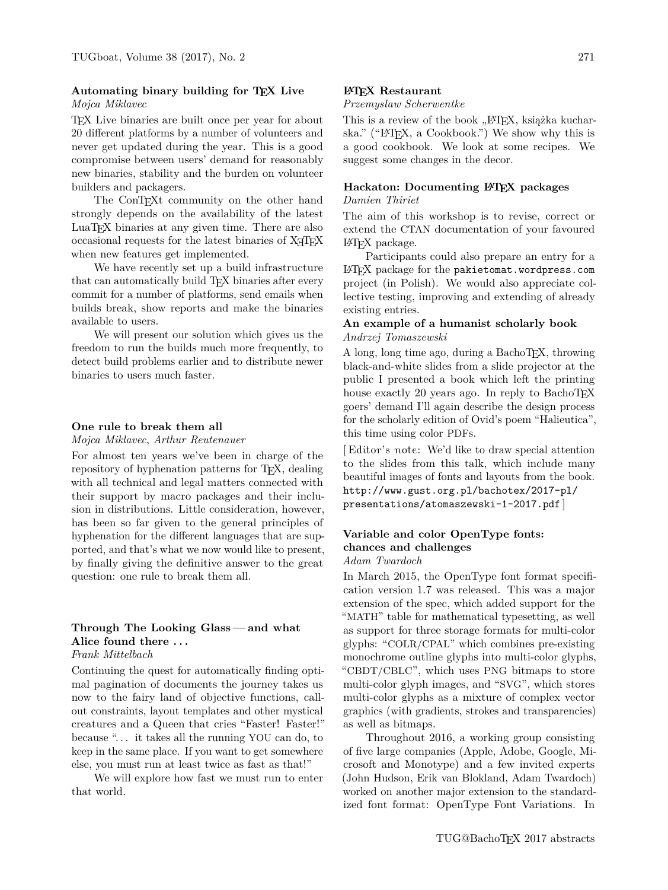### **Automating binary building for TEX Live** *Mojca Miklavec*

TEX Live binaries are built once per year for about 20 different platforms by a number of volunteers and never get updated during the year. This is a good compromise between users' demand for reasonably new binaries, stability and the burden on volunteer builders and packagers.

The ConTEXt community on the other hand strongly depends on the availability of the latest LuaTEX binaries at any given time. There are also occasional requests for the latest binaries of X<sub>T</sub>T<sub>E</sub>X when new features get implemented.

We have recently set up a build infrastructure that can automatically build TEX binaries after every commit for a number of platforms, send emails when builds break, show reports and make the binaries available to users.

We will present our solution which gives us the freedom to run the builds much more frequently, to detect build problems earlier and to distribute newer binaries to users much faster.

### **One rule to break them all**

*Mojca Miklavec*, *Arthur Reutenauer*

For almost ten years we've been in charge of the repository of hyphenation patterns for T<sub>E</sub>X, dealing with all technical and legal matters connected with their support by macro packages and their inclusion in distributions. Little consideration, however, has been so far given to the general principles of hyphenation for the different languages that are supported, and that's what we now would like to present, by finally giving the definitive answer to the great question: one rule to break them all.

## **Through The Looking Glass — and what Alice found there . . .**

*Frank Mittelbach*

Continuing the quest for automatically finding optimal pagination of documents the journey takes us now to the fairy land of objective functions, callout constraints, layout templates and other mystical creatures and a Queen that cries "Faster! Faster!" because ". . . it takes all the running YOU can do, to keep in the same place. If you want to get somewhere else, you must run at least twice as fast as that!"

We will explore how fast we must run to enter that world.

#### **LATEX Restaurant**

#### *Przemysław Scherwentke*

This is a review of the book "LAT<sub>EX</sub>, książka kucharska." ("LATEX, a Cookbook.") We show why this is a good cookbook. We look at some recipes. We suggest some changes in the decor.

# **Hackaton: Documenting LATEX packages**

## *Damien Thiriet*

The aim of this workshop is to revise, correct or extend the CTAN documentation of your favoured LATEX package.

Participants could also prepare an entry for a LATEX package for the pakietomat.wordpress.com project (in Polish). We would also appreciate collective testing, improving and extending of already existing entries.

## **An example of a humanist scholarly book** *Andrzej Tomaszewski*

A long, long time ago, during a BachoTEX, throwing black-and-white slides from a slide projector at the public I presented a book which left the printing house exactly 20 years ago. In reply to BachoTEX goers' demand I'll again describe the design process for the scholarly edition of Ovid's poem "Halieutica", this time using color PDFs.

[ Editor's note: We'd like to draw special attention to the slides from this talk, which include many beautiful images of fonts and layouts from the book. http://www.gust.org.pl/bachotex/2017-pl/ presentations/atomaszewski-1-2017.pdf ]

## **Variable and color OpenType fonts: chances and challenges**

## *Adam Twardoch*

In March 2015, the OpenType font format specification version 1.7 was released. This was a major extension of the spec, which added support for the "MATH" table for mathematical typesetting, as well as support for three storage formats for multi-color glyphs: "COLR/CPAL" which combines pre-existing monochrome outline glyphs into multi-color glyphs, "CBDT/CBLC", which uses PNG bitmaps to store multi-color glyph images, and "SVG", which stores multi-color glyphs as a mixture of complex vector graphics (with gradients, strokes and transparencies) as well as bitmaps.

Throughout 2016, a working group consisting of five large companies (Apple, Adobe, Google, Microsoft and Monotype) and a few invited experts (John Hudson, Erik van Blokland, Adam Twardoch) worked on another major extension to the standardized font format: OpenType Font Variations. In